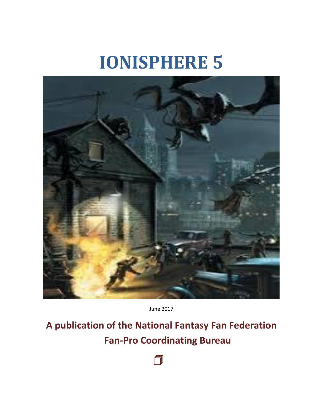# **IONISPHERE 5**



June 2017

**A publication of the National Fantasy Fan Federation Fan-Pro Coordinating Bureau**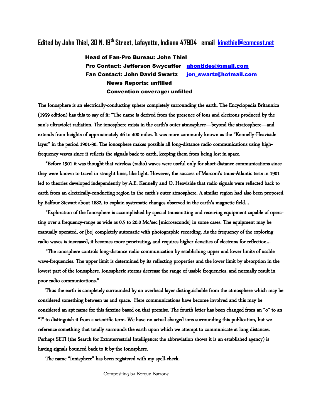# **Edited by John Thiel, 30 N. 19th Street, Lafayette, Indiana 47904 email [kinethiel@comcast.net](mailto:kinethiel@comcast.net)**

### Head of Fan-Pro Bureau: John Thiel Pro Contact: Jefferson Swycaffer [abontides@gmail.com](mailto:abontides@gmail.com) Fan Contact: John David Swartz [jon\\_swartz@hotmail.com](mailto:jonswartz@hotmail.com) News Reports: unfilled Convention coverage: unfilled

The Ionosphere is an electrically-conducting sphere completely surrounding the earth. The Encyclopedia Britannica (1959 edition) has this to say of it: "The name is derived from the presence of ions and electrons produced by the sun's ultraviolet radiation. The ionosphere exists in the earth's outer atmosphere—beyond the stratosphere—and extends from heights of approximately 46 to 400 miles. It was more commonly known as the "Kennelly-Heaviside layer" in the period 1901-30. The ionosphere makes possible all long-distance radio communications using highfrequency waves since it reflects the signals back to earth, keeping them from being lost in space.

 "Before 1901 it was thought that wireless (radio) waves were useful only for short-distance communications since they were known to travel in straight lines, like light. However, the success of Marconi's trans-Atlantic tests in 1901 led to theories developed independently by A.E. Kennelly and O. Heaviside that radio signals were reflected back to earth from an electrically-conducting region in the earth's outer atmosphere. A similar region had also been proposed by Balfour Stewart about 1882, to explain systematic changes observed in the earth's magnetic field…

 "Exploration of the Ionosphere is accomplished by special transmitting and receiving equipment capable of operating over a frequency-range as wide as 0.5 to 20.0 Mc/sec [microseconds] in some cases. The equipment may be manually operated, or [be] completely automatic with photographic recording. As the frequency of the exploring radio waves is increased, it becomes more penetrating, and requires higher densities of electrons for reflection…

 "The ionosphere controls long-distance radio communication by establishing upper and lower limits of usable wave-frequencies. The upper limit is determined by its reflecting properties and the lower limit by absorption in the lowest part of the ionosphere. Ionospheric storms decrease the range of usable frequencies, and normally result in poor radio communications."

 Thus the earth is completely surrounded by an overhead layer distinguishable from the atmosphere which may be considered something between us and space. Here communications have become involved and this may be considered an apt name for this fanzine based on that premise. The fourth letter has been changed from an "o" to an "I" to distinguish it from a scientific term. We have no actual charged ions surrounding this publication, but we reference something that totally surrounds the earth upon which we attempt to communicate at long distances. Perhaps SETI (the Search for Extraterrestrial Intelligence; the abbreviation shows it is an established agency) is having signals bounced back to it by the Ionosphere.

The name "Ionisphere" has been registered with my spell-check.

Compositing by Borque Barrone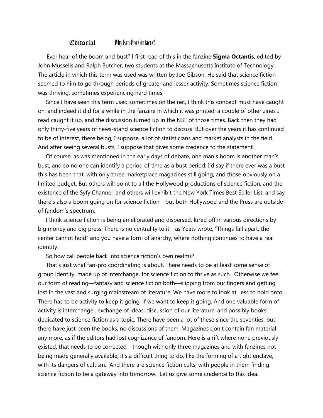### Editorial Why Fan-Pro Contacts?

 Ever hear of the boom and bust? I first read of this in the fanzine **Sigma Octantis**, edited by John Mussells and Ralph Butcher, two students at the Massachusetts Institute of Technology. The article in which this term was used was written by Joe Gibson. He said that science fiction seemed to him to go through periods of greater and lesser activity. Sometimes science fiction was thriving, sometimes experiencing hard times.

 Since I have seen this term used sometimes on the net, I think this concept must have caught on, and indeed it did for a while in the fanzine in which it was printed; a couple of other zines I read caught it up, and the discussion turned up in the N3F of those times. Back then they had only thirty-five years of news-stand science fiction to discuss. But over the years it has continued to be of interest, there being, I suppose, a lot of statisticians and market analysts in the field. And after seeing several busts, I suppose that gives some credence to the statement.

 Of course, as was mentioned in the early days of debate, one man's boom is another man's bust, and so no one can identify a period of time as a bust period. I'd say if there ever was a bust this has been that, with only three marketplace magazines still going, and those obviously on a limited budget. But others will point to all the Hollywood productions of science fiction, and the existence of the Syfy Channel, and others will exhibit the New York Times Best Seller List, and say there's also a boom going on for science fiction—but both Hollywood and the Press are outside of fandom's spectrum.

 I think science fiction is being ameliorated and dispersed, lured off in various directions by big money and big press. There is no centrality to it—as Yeats wrote, "Things fall apart, the center cannot hold" and you have a form of anarchy, where nothing continues to have a real identity.

So how call people back into science fiction's own realms?

 That's just what fan-pro coordinating is about. There needs to be at least some sense of group identity, made up of interchange, for science fiction to thrive as such. Otherwise we feel our form of reading—fantasy and science fiction both—slipping from our fingers and getting lost in the vast and surging mainstream of literature. We have more to look at, less to hold onto. There has to be activity to keep it going, if we want to keep it going. And one valuable form of activity is interchange…exchange of ideas, discussion of our literature, and possibly books dedicated to science fiction as a topic. There have been a lot of these since the seventies, but there have just been the books, no discussions of them. Magazines don't contain fan material any more, as if the editors had lost cognizance of fandom. Here is a rift where none previously existed, that needs to be corrected—though with only three magazines and with fanzines not being made generally available, it's a difficult thing to do, like the forming of a tight enclave, with its dangers of cultism. And there are science fiction cults, with people in them finding science fiction to be a gateway into tomorrow. Let us give some credence to this idea.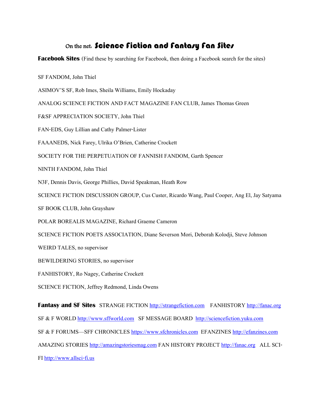## On the net. Science Fiction and Fantasy Fan Sites

**Facebook Sites** (Find these by searching for Facebook, then doing a Facebook search for the sites)

SF FANDOM, John Thiel

ASIMOV'S SF, Rob Imes, Sheila Williams, Emily Hockaday

ANALOG SCIENCE FICTION AND FACT MAGAZINE FAN CLUB, James Thomas Green

F&SF APPRECIATION SOCIETY, John Thiel

FAN-EDS, Guy Lillian and Cathy Palmer-Lister

FAAANEDS, Nick Farey, Ulrika O'Brien, Catherine Crockett

SOCIETY FOR THE PERPETUATION OF FANNISH FANDOM, Garth Spencer

NINTH FANDOM, John Thiel

N3F, Dennis Davis, George Phillies, David Speakman, Heath Row

SCIENCE FICTION DISCUSSION GROUP, Cus Custer, Ricardo Wang, Paul Cooper, Ang El, Jay Satyama

SF BOOK CLUB, John Grayshaw

POLAR BOREALIS MAGAZINE, Richard Graeme Cameron

SCIENCE FICTION POETS ASSOCIATION, Diane Severson Mori, Deborah Kolodji, Steve Johnson

WEIRD TALES, no supervisor

BEWILDERING STORIES, no supervisor

FANHISTORY, Ro Nagey, Catherine Crockett

SCIENCE FICTION, Jeffrey Redmond, Linda Owens

**Fantasy and SF Sites** STRANGE FICTION [http://strangefiction.com](http://strangefiction.com/) FANHISTORY [http://fanac.org](http://fanac.org/)

SF & F WORLD [http://www.sffworld.com](http://www.sffworld.com/) SF MESSAGE BOARD [http://sciencefiction.yuku.com](http://sciencefiction.yuku.com/)

SF & F FORUMS—SFF CHRONICLES [https://www.sfchronicles.com](https://www.sfchronicles.com/) EFANZINES [http://efanzines.com](http://efanzines.com/)

AMAZING STORIES [http://amazingstoriesmag.com](http://amazingstoriesmag.com/) FAN HISTORY PROJECT [http://fanac.org](http://fanac.org/) ALL SCI-

FI [http://www.allsci-fi.us](http://www.allsci-fi.us/)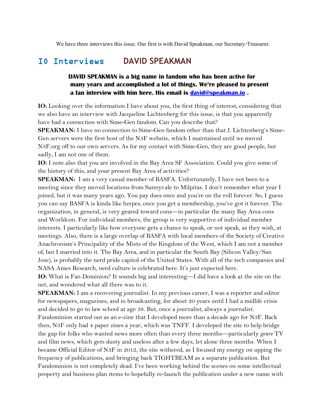We have three interviews this issue. Our first is with David Speakman, our Secretary-Treasurer.

# IO Interviews **DAVID SPEAKMAN**

### **DAVID SPEAKMAN is a big name in fandom who has been active for many years and accomplished a lot of things. We're pleased to present a fan interview with him here. His email is [david@speakman.io](mailto:david@speakman.io) .**

**IO:** Looking over the information I have about you, the first thing of interest, considering that we also have an interview with Jacqueline Lichtenberg for this issue, is that you apparently have had a connection with Sime-Gen fandom. Can you describe that?

**SPEAKMAN:** I have no connection to Sime-Gen fandom other than that J. Lichtenberg's Sime-Gen servers were the first host of the N3F website, which I maintained until we moved N3F.org off to our own servers. As for my contact with Sime-Gen, they are good people, but sadly, I am not one of them.

**IO:** I note also that you are involved in the Bay Area SF Association. Could you give some of the history of this, and your present Bay Area sf activities?

**SPEAKMAN:** I am a very casual member of BASFA. Unfortunately, I have not been to a meeting since they moved locations from Sunnyvale to Milpitas. I don't remember what year I joined, but it was many years ago. You pay dues once and you're on the roll forever. So, I guess you can say BASFA is kinda like herpes, once you get a membership, you've got it forever. The organization, in general, is very geared toward cons—in particular the many Bay Area cons and Worldcon. For individual members, the group is very supportive of individual member interests. I particularly like how everyone gets a chance to speak, or not speak, as they wish, at meetings. Also, there is a large overlap of BASFA with local members of the Society of Creative Anachronism's Principality of the Mists of the Kingdom of the West, which I am not a member of, but I married into it. The Bay Area, and in particular the South Bay (Silicon Valley/San Jose), is probably the nerd pride capitol of the United States. With all of the tech companies and NASA Ames Research, nerd culture is celebrated here. It's just expected here.

**IO:** What is Fan Dominion? It sounds big and interesting—I did have a look at the site on the net, and wondered what all there was to it.

**SPEAKMAN:** I am a recovering journalist. In my previous career, I was a reporter and editor for newspapers, magazines, and in broadcasting, for about 20 years until I had a midlife crisis and decided to go to law school at age 38. But, once a journalist, always a journalist. Fandominion started out as an e-zine that I developed more than a decade ago for N3F. Back then, N3F only had 4 paper zines a year, which was TNFF. I developed the site to help bridge the gap for folks who wanted news more often than every three months—particularly *genre* TV and film news, which gets dusty and useless after a few days, let alone three months. When I became Official Editor of N3F in 2012, the site withered, as I focused my energy on upping the frequency of publications, and bringing back TIGHTBEAM as a separate publication. But Fandominion is not completely dead. I've been working behind the scenes on some intellectual property and business plan items to hopefully re-launch the publication under a new name with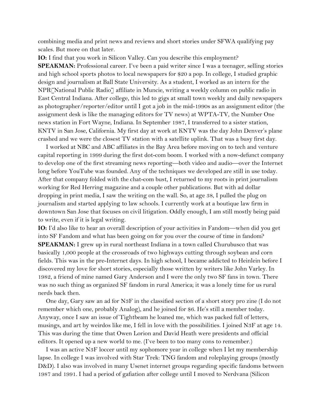combining media and print news and reviews and short stories under SFWA qualifying pay scales. But more on that later.

**IO:** I find that you work in Silicon Valley. Can you describe this employment? **SPEAKMAN:** Professional career. I've been a paid writer since I was a teenager, selling stories and high school sports photos to local newspapers for \$20 a pop. In college, I studied graphic design and journalism at Ball State University. As a student, I worked as an intern for the NPR[National Public Radio] affiliate in Muncie, writing a weekly column on public radio in East Central Indiana. After college, this led to gigs at small town weekly and daily newspapers as photographer/reporter/editor until I got a job in the mid-1990s as an assignment editor (the assignment desk is like the managing editors for TV news) at WPTA-TV, the Number One news station in Fort Wayne, Indiana. In September 1987, I transferred to a sister station, KNTV in San Jose, California. My first day at work at KNTV was the day John Denver's plane crashed and we were the closest TV station with a satellite uplink. That was a busy first day.

 I worked at NBC and ABC affiliates in the Bay Area before moving on to tech and venture capital reporting in 1999 during the first dot-com boom. I worked with a now-defunct company to develop one of the first streaming news reporting—both video and audio—over the Internet long before YouTube was founded. Any of the techniques we developed are still in use today. After that company folded with the chat-com bust, I returned to my roots in print journalism working for Red Herring magazine and a couple other publications. But with ad dollar dropping in print media, I saw the writing on the wall. So, at age 38, I pulled the plug on journalism and started applying to law schools. I currently work at a boutique law firm in downtown San Jose that focuses on civil litigation. Oddly enough, I am still mostly being paid to write, even if it is legal writing.

**IO:** I'd also like to hear an overall description of your activities in Fandom—when did you get into SF Fandom and what has been going on for you over the course of time in fandom? **SPEAKMAN:** I grew up in rural northeast Indiana in a town called Churubusco that was basically 1,000 people at the crossroads of two highways cutting through soybean and corn fields. This was in the pre-Internet days. In high school, I became addicted to Heinlein before I discovered my love for short stories, especially those written by writers like John Varley. In 1982, a friend of mine named Gary Anderson and I were the only two SF fans in town. There was no such thing as organized SF fandom in rural America; it was a lonely time for us rural nerds back then.

 One day, Gary saw an ad for N3F in the classified section of a short story pro zine (I do not remember which one, probably Analog), and he joined for \$6. He's still a member today. Anyway, once I saw an issue of Tightbeam he loaned me, which was packed full of letters, musings, and art by weirdos like me, I fell in love with the possibilities. I joined N3F at age 14. This was during the time that Owen Lorion and David Heath were presidents and official editors. It opened up a new world to me. (I've been to too many cons to remember.)

 I was an active N3F loccer until my sophomore year in college when I let my membership lapse. In college I was involved with Star Trek: TNG fandom and roleplaying groups (mostly D&D). I also was involved in many Usenet internet groups regarding specific fandoms between 1987 and 1991. I had a period of gafiation after college until I moved to Nerdvana (Silicon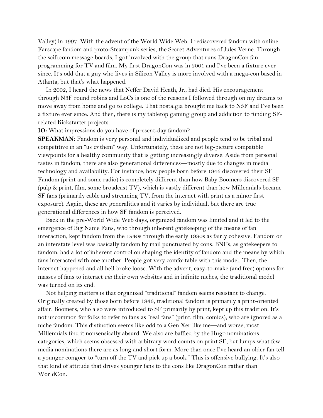Valley) in 1997. With the advent of the World Wide Web, I rediscovered fandom with online Farscape fandom and proto-Steampunk series, the Secret Adventures of Jules Verne. Through the scifi.com message boards, I got involved with the group that runs DragonCon fan programming for TV and film. My first DragonCon was in 2001 and I've been a fixture ever since. It's odd that a guy who lives in Silicon Valley is more involved with a mega-con based in Atlanta, but that's what happened.

 In 2002, I heard the news that Neffer David Heath, Jr., had died. His encouragement through N3F round robins and LoCs is one of the reasons I followed through on my dreams to move away from home and go to college. That nostalgia brought me back to N3F and I've been a fixture ever since. And then, there is my tabletop gaming group and addiction to funding SFrelated Kickstarter projects.

### **IO:** What impressions do you have of present-day fandom?

**SPEAKMAN:** Fandom is very personal and individualized and people tend to be tribal and competitive in an "us *vs* them" way. Unfortunately, these are not big-picture compatible viewpoints for a healthy community that is getting increasingly diverse. Aside from personal tastes in fandom, there are also generational differences—mostly due to changes in media technology and availability. For instance, how people born before 1946 discovered their SF Fandom (print and some radio) is completely different than how Baby Boomers discovered SF (pulp & print, film, some broadcast TV), which is vastly different than how Millennials became SF fans (primarily cable and streaming TV, from the internet with print as a minor first exposure). Again, these are generalities and it varies by individual, but there are true generational differences in how SF fandom is perceived.

 Back in the pre-World Wide Web days, organized fandom was limited and it led to the emergence of Big Name Fans, who through inherent gatekeeping of the means of fan interaction, kept fandom from the 1940s through the early 1990s as fairly cohesive. Fandom on an interstate level was basically fandom by mail punctuated by cons. BNFs, as gatekeepers to fandom, had a lot of inherent control on shaping the identity of fandom and the means by which fans interacted with one another. People got very comfortable with this model. Then, the internet happened and all hell broke loose. With the advent, easy-to-make (and free) options for masses of fans to interact *via* their own websites and in infinite niches, the traditional model was turned on its end.

 Not helping matters is that organized "traditional" fandom seems resistant to change. Originally created by those born before 1946, traditional fandom is primarily a print-oriented affair. Boomers, who also were introduced to SF primarily by print, kept up this tradition. It's not uncommon for folks to refer to fans as "real fans" (print, film, comics), who are ignored as a niche fandom. This distinction seems like odd to a Gen Xer like me—and worse, most Millennials find it nonsensically absurd. We also are baffled by the Hugo nominations categories, which seems obsessed with arbitrary word counts on print SF, but lumps what few media nominations there are as long and short form. More than once I've heard an older fan tell a younger congoer to "turn off the TV and pick up a book." This is offensive bullying. It's also that kind of attitude that drives younger fans to the cons like DragonCon rather than WorldCon.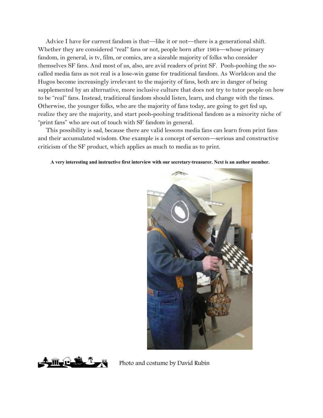Advice I have for current fandom is that—like it or not—there is a generational shift. Whether they are considered "real" fans or not, people born after 1964—whose primary fandom, in general, is tv, film, or comics, are a sizeable majority of folks who consider themselves SF fans. And most of us, also, are avid readers of print SF. Pooh-poohing the socalled media fans as not real is a lose-win game for traditional fandom. As Worldcon and the Hugos become increasingly irrelevant to the majority of fans, both are in danger of being supplemented by an alternative, more inclusive culture that does not try to tutor people on how to be "real" fans. Instead, traditional fandom should listen, learn, and change with the times. Otherwise, the younger folks, who are the majority of fans today, are going to get fed up, realize they are the majority, and start pooh-poohing traditional fandom as a minority niche of "print fans" who are out of touch with SF fandom in general.

 This possibility is sad, because there are valid lessons media fans can learn from print fans and their accumulated wisdom. One example is a concept of sercon—serious and constructive criticism of the SF product, which applies as much to media as to print.

### **A very interesting and instructive first interview with our secretary-treasurer. Next is an author member.**





 $\prod_{\alpha}$   $\prod_{\alpha}$  Photo and costume by David Rubin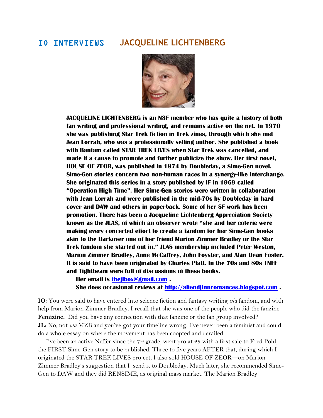### IO INTERVIEWS **JACQUELINE LICHTENBERG**



 **JACQUELINE LICHTENBERG is an N3F member who has quite a history of both fan writing and professional writing, and remains active on the net. In 1970 she was publishing Star Trek fiction in Trek zines, through which she met Jean Lorrah, who was a professionally selling author. She published a book with Bantam called STAR TREK LIVES when Star Trek was cancelled, and made it a cause to promote and further publicize the show. Her first novel, HOUSE OF ZEOR, was published in 1974 by Doubleday, a Sime-Gen novel. Sime-Gen stories concern two non-human races in a synergy-like interchange. She originated this series in a story published by IF in 1969 called "Operation High Time". Her Sime-Gen stories were written in collaboration with Jean Lorrah and were published in the mid-70s by Doubleday in hard cover and DAW and others in paperback. Some of her SF work has been promotion. There has been a Jacqueline Lichtenberg Appreciation Society known as the JLAS, of which an observer wrote "she and her coterie were making every concerted effort to create a fandom for her Sime-Gen books akin to the Darkover one of her friend Marion Zimmer Bradley or the Star Trek fandom she started out in." JLAS membership included Peter Weston, Marion Zimmer Bradley, Anne McCaffrey, John Foyster, and Alan Dean Foster. It is said to have been originated by Charles Platt. In the 70s and 80s TNFF and Tightbeam were full of discussions of these books.**

 **Her email is [thejlbox@gmail.com](mailto:thejlbox@gmail.com) . She does occasional reviews at [http://aliendjinnromances.blogspot.com](http://aliendjinnromances.blogspot.com/) .**

**IO:** You were said to have entered into science fiction and fantasy writing *via* fandom, and with help from Marion Zimmer Bradley. I recall that she was one of the people who did the fanzine **Femizine.** Did you have any connection with that fanzine or the fan group involved? **JL:** No, not *via* MZB and you've got your timeline wrong. I've never been a feminist and could do a whole essay on where the movement has been coopted and derailed.

I've been an active Neffer since the  $7<sup>th</sup>$  grade, went pro at 25 with a first sale to Fred Pohl, the FIRST Sime-Gen story to be published. Three to five years AFTER that, during which I originated the STAR TREK LIVES project, I also sold HOUSE OF ZEOR—on Marion Zimmer Bradley's suggestion that I send it to Doubleday. Much later, she recommended Sime-Gen to DAW and they did RENSIME, as original mass market. The Marion Bradley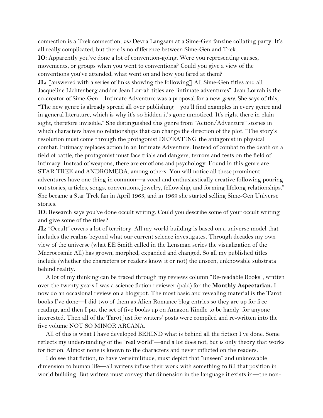connection is a Trek connection, *via* Devra Langsam at a Sime-Gen fanzine collating party. It's all really complicated, but there is no difference between Sime-Gen and Trek.

**IO:** Apparently you've done a lot of convention-going. Were you representing causes, movements, or groups when you went to conventions? Could you give a view of the conventions you've attended, what went on and how you fared at them?

**JL:** [answered with a series of links showing the following] All Sime-Gen titles and all Jacqueline Lichtenberg and/or Jean Lorrah titles are "intimate adventures". Jean Lorrah is the co-creator of Sime-Gen…Intimate Adventure was a proposal for a new *genre.* She says of this, "The new genre is already spread all over publishing—you'll find examples in every genre and in general literature, which is why it's so hidden it's gone unnoticed. It's right there in plain sight, therefore invisible." She distinguished this genre from "Action/Adventure" stories in which characters have no relationships that can change the direction of the plot. "The story's resolution must come through the protagonist DEFEATING the antagonist in physical combat. Intimacy replaces action in an Intimate Adventure. Instead of combat to the death on a field of battle, the protagonist must face trials and dangers, terrors and tests on the field of intimacy. Instead of weapons, there are emotions and psychology. Found in this genre are STAR TREK and ANDROMEDA, among others. You will notice all these prominent adventures have one thing in common—a vocal and enthusiastically creative following pouring out stories, articles, songs, conventions, jewelry, fellowship, and forming lifelong relationships." She became a Star Trek fan in April 1963, and in 1969 she started selling Sime-Gen Universe stories.

**IO:** Research says you've done occult writing. Could you describe some of your occult writing and give some of the titles?

**JL:** "Occult" covers a lot of territory. All my world building is based on a universe model that includes the realms beyond what our current science investigates. Through decades my own view of the universe (what EE Smith called in the Lensman series the visualization of the Macrocosmic All) has grown, morphed, expanded and changed. So all my published titles include (whether the characters or readers know it or not) the unseen, unknowable substrata behind reality.

 A lot of my thinking can be traced through my reviews column "Re-readable Books", written over the twenty years I was a science fiction reviewer (paid) for the **Monthly Aspectarian.** I now do an occasional review on a blogspot. The most basic and revealing material is the Tarot books I've done—I did two of them as Alien Romance blog entries so they are up for free reading, and then I put the set of five books up on Amazon Kindle to be handy for anyone interested. Then all of the Tarot just for writers' posts were compiled and re-written into the five volume NOT SO MINOR ARCANA.

 All of this is what I have developed BEHIND what is behind all the fiction I've done. Some reflects my understanding of the "real world"—and a lot does not, but is only theory that works for fiction. Almost none is known to the characters and never inflicted on the readers.

 I do see that fiction, to have verisimilitude, must depict that "unseen" and unknowable dimension to human life—all writers infuse their work with something to fill that position in world building. But writers must convey that dimension in the language it exists in—the non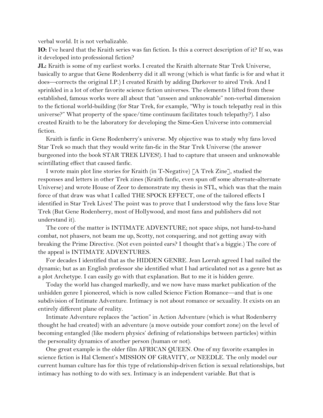verbal world. It is not verbalizable.

**IO:** I've heard that the Kraith series was fan fiction. Is this a correct description of it? If so, was it developed into professional fiction?

**JL:** Kraith is some of my earliest works. I created the Kraith alternate Star Trek Universe, basically to argue that Gene Rodenberry did it all wrong (which is what fanfic is for and what it does—corrects the original I.P.) I created Kraith by adding Darkover to aired Trek. And I sprinkled in a lot of other favorite science fiction universes. The elements I lifted from these established, famous works were all about that "unseen and unknowable" non-verbal dimension to the fictional world-building (for Star Trek, for example, "Why is touch telepathy real in this universe?" What property of the space/time continuum facilitates touch telepathy?). I also created Kraith to be the laboratory for developing the Sime-Gen Universe into commercial fiction.

 Kraith is fanfic in Gene Rodenberry's universe. My objective was to study why fans loved Star Trek so much that they would write fan-fic in the Star Trek Universe (the answer burgeoned into the book STAR TREK LIVES!). I had to capture that unseen and unknowable scintillating effect that caused fanfic.

 I wrote main plot line stories for Kraith (in T-Negative) [A Trek Zine], studied the responses and letters in other Trek zines (Kraith fanfic, even spun off some alternate-alternate Universe) and wrote House of Zeor to demonstrate my thesis in STL, which was that the main force of that draw was what I called THE SPOCK EFFECT, one of the tailored effects I identified in Star Trek Lives! The point was to prove that I understood why the fans love Star Trek (But Gene Rodenberry, most of Hollywood, and most fans and publishers did not understand it).

 The core of the matter is INTIMATE ADVENTURE; not space ships, not hand-to-hand combat, not phasers, not beam me up, Scotty, not conquering, and not getting away with breaking the Prime Directive. (Not even pointed ears? I thought that's a biggie.) The core of the appeal is INTIMATE ADVENTURES.

 For decades I identified that as the HIDDEN GENRE. Jean Lorrah agreed I had nailed the dynamic; but as an English professor she identified what I had articulated not as a genre but as a plot Archetype. I can easily go with that explanation. But to me it is hidden genre.

 Today the world has changed markedly, and we now have mass market publication of the unhidden genre I pioneered, which is now called Science Fiction Romance—and that is one subdivision of Intimate Adventure. Intimacy is not about romance or sexuality. It exists on an entirely different plane of reality.

 Intimate Adventure replaces the "action" in Action Adventure (which is what Rodenberry thought he had created) with an adventure (a move outside your comfort zone) on the level of becoming entangled (like modern physics' defining of relationships between particles) within the personality dynamics of another person (human or not).

 One great example is the older film AFRICAN QUEEN. One of my favorite examples in science fiction is Hal Clement's MISSION OF GRAVITY, or NEEDLE. The only model our current human culture has for this type of relationship-driven fiction is sexual relationships, but intimacy has nothing to do with sex. Intimacy is an independent variable. But that is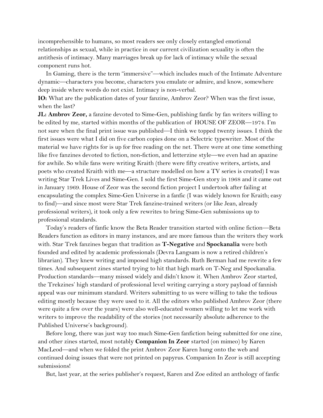incomprehensible to humans, so most readers see only closely entangled emotional relationships as sexual, while in practice in our current civilization sexuality is often the antithesis of intimacy. Many marriages break up for lack of intimacy while the sexual component runs hot.

 In Gaming, there is the term "immersive"—which includes much of the Intimate Adventure dynamic—characters you become, characters you emulate or admire, and know, somewhere deep inside where words do not exist. Intimacy is non-verbal.

**IO:** What are the publication dates of your fanzine, Ambrov Zeor? When was the first issue, when the last?

**JL: Ambrov Zeor,** a fanzine devoted to Sime-Gen, publishing fanfic by fan writers willing to be edited by me, started within months of the publication of HOUSE OF ZEOR—1974. I'm not sure when the final print issue was published—I think we topped twenty issues. I think the first issues were what I did on five carbon copies done on a Selectric typewriter. Most of the material we have rights for is up for free reading on the net. There were at one time something like five fanzines devoted to fiction, non-fiction, and letterzine style—we even had an apazine for awhile. So while fans were writing Kraith (there were fifty creative writers, artists, and poets who created Kraith with me—a structure modelled on how a TV series is created) I was writing Star Trek Lives and Sime-Gen. I sold the first Sime-Gen story in 1968 and it came out in January 1969. House of Zeor was the second fiction project I undertook after failing at encapsulating the complex Sime-Gen Universe in a fanfic (I was widely known for Kraith; easy to find)—and since most were Star Trek fanzine-trained writers (or like Jean, already professional writers), it took only a few rewrites to bring Sime-Gen submissions up to professional standards.

 Today's readers of fanfic know the Beta Reader transition started with online fiction—Beta Readers function as editors in many instances, and are more famous than the writers they work with. Star Trek fanzines began that tradition as **T-Negative** and **Spockanalia** were both founded and edited by academic professionals (Devra Langsam is now a retired children's librarian). They knew writing and imposed high standards. Ruth Berman had me rewrite a few times. And subsequent zines started trying to hit that high mark on T-Neg and Spockanalia. Production standards—many missed widely and didn't know it. When Ambrov Zeor started, the Trekzines' high standard of professional level writing carrying a story payload of fannish appeal was our minimum standard. Writers submitting to us were willing to take the tedious editing mostly because they were used to it. All the editors who published Ambrov Zeor (there were quite a few over the years) were also well-educated women willing to let me work with writers to improve the readability of the stories (not necessarily absolute adherence to the Published Universe's background).

 Before long, there was just way too much Sime-Gen fanfiction being submitted for one zine, and other zines started, most notably **Companion In Zeor** started (on mimeo) by Karen MacLeod—and when we folded the print Ambrov Zeor Karen hung onto the web and continued doing issues that were not printed on papyrus. Companion In Zeor is still accepting submissions!

But, last year, at the series publisher's request, Karen and Zoe edited an anthology of fanfic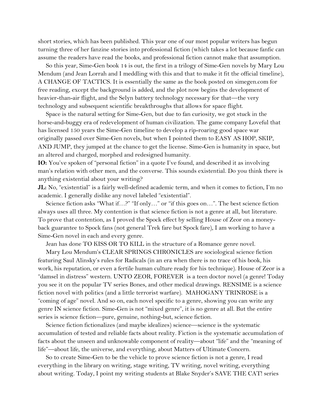short stories, which has been published. This year one of our most popular writers has begun turning three of her fanzine stories into professional fiction (which takes a lot because fanfic can assume the readers have read the books, and professional fiction cannot make that assumption.

 So this year, Sime-Gen book 14 is out, the first in a trilogy of Sime-Gen novels by Mary Lou Mendum (and Jean Lorrah and I meddling with this and that to make it fit the official timeline), A CHANGE OF TACTICS. It is essentially the same as the book posted on simegen.com for free reading, except the background is added, and the plot now begins the development of heavier-than-air flight, and the Selyn battery technology necessary for that—the very technology and subsequent scientific breakthroughs that allows for space flight.

 Space is the natural setting for Sime-Gen, but due to fan curiosity, we got stuck in the horse-and-buggy era of redevelopment of human civilization. The game company Loveful that has licensed 150 years the Sime-Gen timeline to develop a rip-roaring good space war originally passed over Sime-Gen novels, but when I pointed them to EASY AS HOP, SKIP, AND JUMP, they jumped at the chance to get the license. Sime-Gen is humanity in space, but an altered and charged, morphed and redesigned humanity.

**IO:** You've spoken of "personal fiction" in a quote I've found, and described it as involving man's relation with other men, and the converse. This sounds existential. Do you think there is anything existential about your writing?

**JL:** No, "existential" is a fairly well-defined academic term, and when it comes to fiction, I'm no academic. I generally dislike any novel labeled "existential".

Science fiction asks "What if...?" "If only..." or "if this goes on...". The best science fiction always uses all three. My contention is that science fiction is not a genre at all, but literature. To prove that contention, as I proved the Spock effect by selling House of Zeor on a moneyback guarantee to Spock fans (not general Trek fare but Spock fare), I am working to have a Sime-Gen novel in each and every genre.

Jean has done TO KISS OR TO KILL in the structure of a Romance genre novel.

 Mary Lou Mendum's CLEAR SPRINGS CHRONICLES are sociological science fiction featuring Saul Alinsky's rules for Radicals (in an era when there is no trace of his book, his work, his reputation, or even a fertile human culture ready for his technique). House of Zeor is a "damsel in distress" western. UNTO ZEOR, FOREVER is a teen doctor novel (a genre! Today you see it on the popular TV series Bones, and other medical drawings. RENSIME is a science fiction novel with politics (and a little terrorist warfare). MAHOGANY TRINROSE is a "coming of age" novel. And so on, each novel specific to a genre, showing you can write any genre IN science fiction. Sime-Gen is not "mixed genre", it is no genre at all. But the entire series is science fiction—pure, genuine, nothing-but, science fiction.

 Science fiction fictionalizes (and maybe idealizes) science—science is the systematic accumulation of tested and reliable facts about reality. Fiction is the systematic accumulation of facts about the unseen and unknowable component of reality—about "life" and the "meaning of life"—about life, the universe, and everything, about Matters of Ultimate Concern.

 So to create Sime-Gen to be the vehicle to prove science fiction is not a genre, I read everything in the library on writing, stage writing, TV writing, novel writing, everything about writing. Today, I point my writing students at Blake Snyder's SAVE THE CAT! series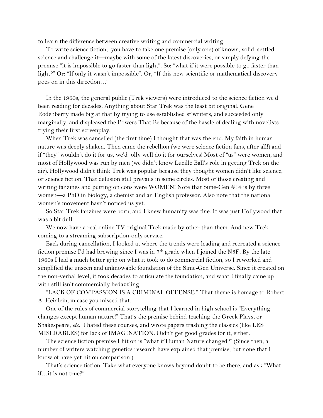to learn the difference between creative writing and commercial writing.

 To write science fiction, you have to take one premise (only one) of known, solid, settled science and challenge it—maybe with some of the latest discoveries, or simply defying the premise "it is impossible to go faster than light". So: "what if it were possible to go faster than light?" Or: "If only it wasn't impossible". Or, "If this new scientific or mathematical discovery goes on in this direction…"

 In the 1960s, the general public (Trek viewers) were introduced to the science fiction we'd been reading for decades. Anything about Star Trek was the least bit original. Gene Rodenberry made big at that by trying to use established sf writers, and succeeded only marginally, and displeased the Powers That Be because of the hassle of dealing with novelists trying their first screenplay.

 When Trek was cancelled (the first time) I thought that was the end. My faith in human nature was deeply shaken. Then came the rebellion (we were science fiction fans, after all!) and if "they" wouldn't do it for us, we'd jolly well do it for ourselves! Most of "us" were women, and most of Hollywood was run by men (we didn't know Lucille Ball's role in getting Trek on the air). Hollywood didn't think Trek was popular because they thought women didn't like science, or science fiction. That delusion still prevails in some circles. Most of those creating and writing fanzines and putting on cons were WOMEN! Note that Sime-Gen #14 is by three women—a PhD in biology, a chemist and an English professor. Also note that the national women's movement hasn't noticed us yet.

 So Star Trek fanzines were born, and I knew humanity was fine. It was just Hollywood that was a bit dull.

 We now have a real online TV original Trek made by other than them. And new Trek coming to a streaming subscription-only service.

 Back during cancellation, I looked at where the trends were leading and recreated a science fiction premise I'd had brewing since I was in  $7<sup>th</sup>$  grade when I joined the N3F. By the late 1960s I had a much better grip on what it took to do commercial fiction, so I reworked and simplified the unseen and unknowable foundation of the Sime-Gen Universe. Since it created on the non-verbal level, it took decades to articulate the foundation, and what I finally came up with still isn't commercially bedazzling.

 "LACK OF COMPASSION IS A CRIMINAL OFFENSE." That theme is homage to Robert A. Heinlein, in case you missed that.

 One of the rules of commercial storytelling that I learned in high school is "Everything changes except human nature!" That's the premise behind teaching the Greek Plays, or Shakespeare, *etc.* I hated these courses, and wrote papers trashing the classics (like LES MISERABLES) for lack of IMAGINATION. Didn't get good grades for it, either.

 The science fiction premise I hit on is "what if Human Nature changed?" (Since then, a number of writers watching genetics research have explained that premise, but none that I know of have yet hit on comparison.)

 That's science fiction. Take what everyone knows beyond doubt to be there, and ask "What if…it is not true?"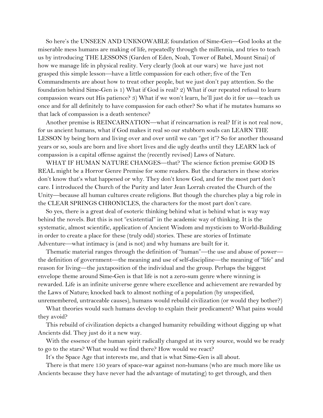So here's the UNSEEN AND UNKNOWABLE foundation of Sime-Gen—God looks at the miserable mess humans are making of life, repeatedly through the millennia, and tries to teach us by introducing THE LESSONS (Garden of Eden, Noah, Tower of Babel, Mount Sinai) of how we manage life in physical reality. Very clearly (look at our wars) we have just not grasped this simple lesson—have a little compassion for each other; five of the Ten Commandments are about how to treat other people, but we just don't pay attention. So the foundation behind Sime-Gen is 1) What if God is real? 2) What if our repeated refusal to learn compassion wears out His patience? 3) What if we won't learn, he'll just do it for us—teach us once and for all definitely to have compassion for each other? So what if he mutates humans so that lack of compassion is a death sentence?

 Another premise is REINCARNATION—what if reincarnation is real? If it is not real now, for us ancient humans, what if God makes it real so our stubborn souls can LEARN THE LESSON by being born and living over and over until we can "get it"? So for another thousand years or so, souls are born and live short lives and die ugly deaths until they LEARN lack of compassion is a capital offense against the (recently revised) Laws of Nature.

 WHAT IF HUMAN NATURE CHANGES—that? The science fiction premise GOD IS REAL might be a Horror Genre Premise for some readers. But the characters in these stories don't know that's what happened or why. They don't know God, and for the most part don't care. I introduced the Church of the Purity and later Jean Lorrah created the Church of the Unity—because all human cultures create religions. But though the churches play a big role in the CLEAR SPRINGS CHRONICLES, the characters for the most part don't care.

 So yes, there is a great deal of esoteric thinking behind what is behind what is way way behind the novels. But this is not "existential" in the academic way of thinking. It is the systematic, almost scientific, application of Ancient Wisdom and mysticism to World-Building in order to create a place for these (truly odd) stories. These are stories of Intimate Adventure—what intimacy is (and is not) and why humans are built for it.

 Thematic material ranges through the definition of "human"—the use and abuse of power the definition of government—the meaning and use of self-discipline—the meaning of "life" and reason for living—the juxtaposition of the individual and the group. Perhaps the biggest envelope theme around Sime-Gen is that life is not a zero-sum genre where winning is rewarded. Life is an infinite universe genre where excellence and achievement are rewarded by the Laws of Nature; knocked back to almost nothing of a population (by unspecified, unremembered, untraceable causes), humans would rebuild civilization (or would they bother?)

 What theories would such humans develop to explain their predicament? What pains would they avoid?

 This rebuild of civilization depicts a changed humanity rebuilding without digging up what Ancients did. They just do it a new way.

With the essence of the human spirit radically changed at its very source, would we be ready to go to the stars? What would we find there? How would we react?

It's the Space Age that interests me, and that is what Sime-Gen is all about.

 There is that mere 150 years of space-war against non-humans (who are much more like us Ancients because they have never had the advantage of mutating) to get through, and then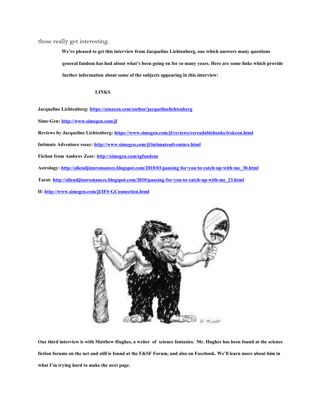those really get interesting.

 **We're pleased to get this interview from Jacqueline Lichtenberg, one which answers many questions general fandom has had about what's been going on for so many years. Here are some links which provide further information about some of the subjects appearing in this interview:**

### **LINKS**

**Jacqueline Lichtenberg:<https://amazon.com/author/jacquelinelichtenberg>**

**Sime-Gen[: http://www.simegen.com/jl](http://www.simegen.com/jl)**

**Reviews by Jacqueline Lichtenberg:<https://www.simegen.com/jl/reviews/rereadablebooks/trekcon.html>**

**Intimate Adventure essay[: http://www.simegen.com/jl/intimateadventure.html](http://www.simegen.com/jl/intimateadventure.html)**

**Fiction from Ambrov Zeor[: http://simegen.com/sgfandom](http://simegen.com/sgfandom)**

**Astrology: [http://aliendjinnromances.blogspot.com/2010/03/pausing-for-you-to-catch-up-with-me\\_30.html](http://aliendjinnromances.blogspot.com/2010/03/pausing-for-you-to-catch-up-with-me_30.html)**

**Tarot: [http://aliendjinnromances.blogspot.com/2010/pausing-for-you-to-catch-up-with-me\\_23.html](http://aliendjinnromances.blogspot.com/2010/pausing-for-you-to-catch-up-with-me_23.html)**

**If:<http://www.simegen.com/jl/IFS-GConnection.html>**



**Our third interview is with Matthew Hughes, a writer of science fantasies. Mr. Hughes has been found at the science fiction forums on the net and still is found at the F&SF Forum, and also on Facebook. We'll learn more about him in what I'm trying hard to make the next page.**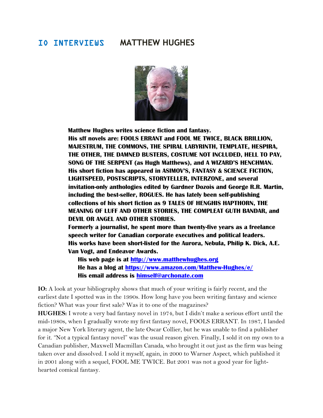## IO INTERVIEWS **MATTHEW HUGHES**



 **Matthew Hughes writes science fiction and fantasy. His sff novels are: FOOLS ERRANT and FOOL ME TWICE, BLACK BRILLION, MAJESTRUM, THE COMMONS, THE SPIRAL LABYRINTH, TEMPLATE, HESPIRA, THE OTHER, THE DAMNED BUSTERS, COSTUME NOT INCLUDED, HELL TO PAY, SONG OF THE SERPENT (as Hugh Matthews), and A WIZARD'S HENCHMAN. His short fiction has appeared in ASIMOV'S, FANTASY & SCIENCE FICTION, LIGHTSPEED, POSTSCRIPTS, STORYTELLER, INTERZONE, and several invitation-only anthologies edited by Gardner Dozois and George R.R. Martin, including the best-seller, ROGUES. He has lately been self-publishing collections of his short fiction as 9 TALES OF HENGHIS HAPTHORN, THE MEANING OF LUFF AND OTHER STORIES, THE COMPLEAT GUTH BANDAR, and DEVIL OR ANGEL AND OTHER STORIES.**

 **Formerly a journalist, he spent more than twenty-five years as a freelance speech writer for Canadian corporate executives and political leaders. His works have been short-listed for the Aurora, Nebula, Philip K. Dick, A.E. Van Vogt, and Endeavor Awards.**

 **His web page is at [http://www.matthewhughes.org](http://www.matthewhughes.org/) He has a blog at<https://www.amazon.com/Matthew-Hughes/e/> His email address is [himself@archonate.com](mailto:himself@archonate.com)**

**IO:** A look at your bibliography shows that much of your writing is fairly recent, and the earliest date I spotted was in the 1990s. How long have you been writing fantasy and science fiction? What was your first sale? Was it to one of the magazines?

**HUGHES:** I wrote a very bad fantasy novel in 1974, but I didn't make a serious effort until the mid-1980s, when I gradually wrote my first fantasy novel, FOOLS ERRANT. In 1987, I landed a major New York literary agent, the late Oscar Collier, but he was unable to find a publisher for it. "Not a typical fantasy novel" was the usual reason given. Finally, I sold it on my own to a Canadian publisher, Maxwell Macmillan Canada, who brought it out just as the firm was being taken over and dissolved. I sold it myself, again, in 2000 to Warner Aspect, which published it in 2001 along with a sequel, FOOL ME TWICE. But 2001 was not a good year for lighthearted comical fantasy.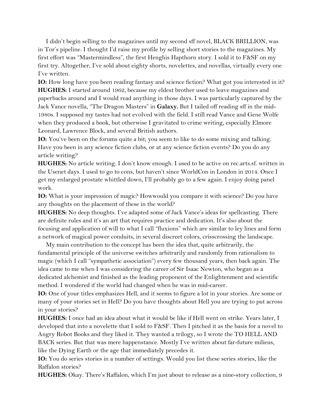I didn't begin selling to the magazines until my second sff novel, BLACK BRILLION, was in Tor's pipeline. I thought I'd raise my profile by selling short stories to the magazines. My first effort was "Mastermindless", the first Henghis Hapthorn story. I sold it to F&SF on my first try. Altogether, I've sold about eighty shorts, novelettes, and novellas, virtually every one I've written.

**IO:** How long have you been reading fantasy and science fiction? What got you interested in it? **HUGHES:** I started around 1962, because my eldest brother used to leave magazines and paperbacks around and I would read anything in those days. I was particularly captured by the Jack Vance novella, "The Dragon Masters" in **Galaxy.** But I tailed off reading sff in the mid-1980s. I supposed my tastes had not evolved with the field. I still read Vance and Gene Wolfe when they produced a book, but otherwise I gravitated to crime writing, especially Elmore Leonard, Lawrence Block, and several British authors.

**IO:** You've been on the forums quite a bit; you seem to like to do some mixing and talking. Have you been in any science fiction clubs, or at any science fiction events? Do you do any article writing?

**HUGHES:** No article writing. I don't know enough. I used to be active on rec.arts.sf. written in the Usenet days. I used to go to cons, but haven't since WorldCon in London in 2014. Once I get my enlarged prostate whittled down, I'll probably go to a few again. I enjoy doing panel work.

**IO:** What is your impression of magic? Howwould you compare it with science? Do you have any thoughts on the placement of these in the world?

**HUGHES:** No deep thoughts. I've adapted some of Jack Vance's ideas for spellcasting. There are definite rules and it's an art that requires practice and dedication. It's also about the focusing and application of will to what I call "fluxions" which are similar to ley lines and form a network of magical power conduits, in several discreet colors, crisscrossing the landscape.

 My main contribution to the concept has been the idea that, quite arbitrarily, the fundamental principle of the universe switches arbitrarily and randomly from rationalism to magic (which I call "sympathetic association") every few thousand years, then back again. The idea came to me when I was considering the career of Sir Isaac Newton, who began as a dedicated alchemist and finished as the leading proponent of the Enlightenment and scientific method. I wondered if the world had changed when he was in mid-career.

**IO:** One of your titles emphasizes Hell, and it seems to figure a lot in your stories. Are some or many of your stories set in Hell? Do you have thoughts about Hell you are trying to put across in your stories?

**HUGHES:** I once had an idea about what it would be like if Hell went on strike. Years later, I developed that into a novelette that I sold to F&SF. Then I pitched it as the basis for a novel to Angry Robot Books and they liked it. They wanted a trilogy, so I wrote the TO HELL AND BACK series. But that was mere happenstance. Mostly I've written about far-future milieus, like the Dying Earth or the age that immediately precedes it.

**IO:** You do series stories in a number of settings. Would you list these series stories, like the Raffalon stories?

**HUGHES:** Okay. There's Raffalon, which I'm just about to release as a nine-story collection, 9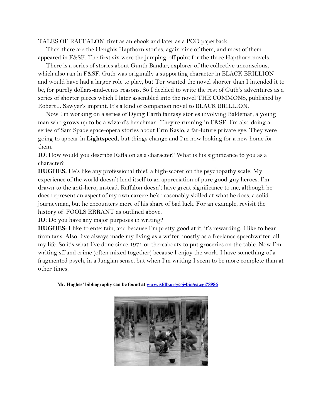TALES OF RAFFALON, first as an ebook and later as a POD paperback.

 Then there are the Henghis Hapthorn stories, again nine of them, and most of them appeared in F&SF. The first six were the jumping-off point for the three Hapthorn novels.

 There is a series of stories about Gunth Bandar, explorer of the collective unconscious, which also ran in F&SF. Guth was originally a supporting character in BLACK BRILLION and would have had a larger role to play, but Tor wanted the novel shorter than I intended it to be, for purely dollars-and-cents reasons. So I decided to write the rest of Guth's adventures as a series of shorter pieces which I later assembled into the novel THE COMMONS, published by Robert J. Sawyer's imprint. It's a kind of companion novel to BLACK BRILLION.

 Now I'm working on a series of Dying Earth fantasy stories involving Baldemar, a young man who grows up to be a wizard's henchman. They're running in F&SF. I'm also doing a series of Sam Spade space-opera stories about Erm Kaslo, a far-future private eye. They were going to appear in **Lightspeed,** but things change and I'm now looking for a new home for them.

**IO:** How would you describe Raffalon as a character? What is his significance to you as a character?

**HUGHES:** He's like any professional thief, a high-scorer on the psychopathy scale. My experience of the world doesn't lend itself to an appreciation of pure good-guy heroes. I'm drawn to the anti-hero, instead. Raffalon doesn't have great significance to me, although he does represent an aspect of my own career: he's reasonably skilled at what he does, a solid journeyman, but he encounters more of his share of bad luck. For an example, revisit the history of FOOLS ERRANT as outlined above.

**IO:** Do you have any major purposes in writing?

**HUGHES:** I like to entertain, and because I'm pretty good at it, it's rewarding. I like to hear from fans. Also, I've always made my living as a writer, mostly as a freelance speechwriter, all my life. So it's what I've done since 1971 or thereabouts to put groceries on the table. Now I'm writing sff and crime (often mixed together) because I enjoy the work. I have something of a fragmented psych, in a Jungian sense, but when I'm writing I seem to be more complete than at other times.

 **Mr. Hughes' bibliography can be found at [www.isfdb.org/cgi-bin/ea.cgi?8986](http://www.isfdb.org/cgi-bin/ea.cgi?8986)**

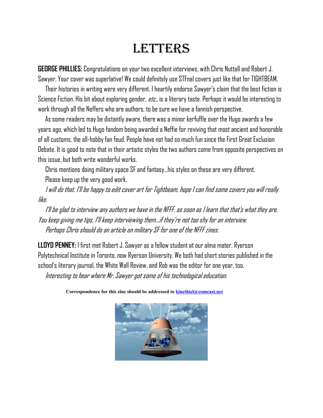# **LETTERS**

**GEORGE PHILLIES:** Congratulations on your two excellent interviews, with Chris Nuttall and Robert J. Sawyer. Your cover was superlative! We could definitely use STFnal covers just like that for TIGHTBEAM.

 Their histories in writing were very different. I heartily endorse Sawyer's claim that the best fiction is Science Fiction. His bit about exploring gender, *etc.,* is a literary taste. Perhaps it would be interesting to work through all the Neffers who are authors, to be sure we have a fannish perspective.

 As some readers may be distantly aware, there was a minor kerfuffle over the Hugo awards a few years ago, which led to Hugo fandom being awarded a Neffie for reviving that most ancient and honorable of all customs, the all-hobby fan feud. People have not had so much fun since the First Great Exclusion Debate. It is good to note that in their artistic styles the two authors come from opposite perspectives on this issue, but both write wonderful works.

 Chris mentions doing military space SF and fantasy…his styles on these are very different. Please keep up the very good work.

 I will do that. I'll be happy to edit cover art for Tightbeam, hope I can find some covers you will really like.

 I'll be glad to interview any authors we have in the NFFF, as soon as I learn that that's what they are. You keep giving me tips, I'll keep interviewing them…if they're not too shy for an interview. Perhaps Chris should do an article on military SF for one of the NFFF zines.

**LLOYD PENNEY:** I first met Robert J. Sawyer as a fellow student at our alma mater, Ryerson Polytechnical Institute in Toronto, now Ryerson University. We both had short stories published in the school's literary journal, the White Wall Review, and Rob was the editor for one year, too.

Interesting to hear where Mr. Sawyer got some of his technological education.

 **Correspondence for this zine should be addressed to [kinethiel@comcast.net](mailto:kinethiel@comcast.net)**

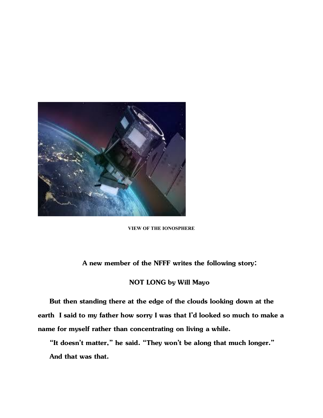

### **VIEW OF THE IONOSPHERE**

### **A new member of the NFFF writes the following story:**

### **NOT LONG by Will Mayo**

 **But then standing there at the edge of the clouds looking down at the earth I said to my father how sorry I was that I'd looked so much to make a name for myself rather than concentrating on living a while.**

 **"It doesn't matter," he said. "They won't be along that much longer." And that was that.**